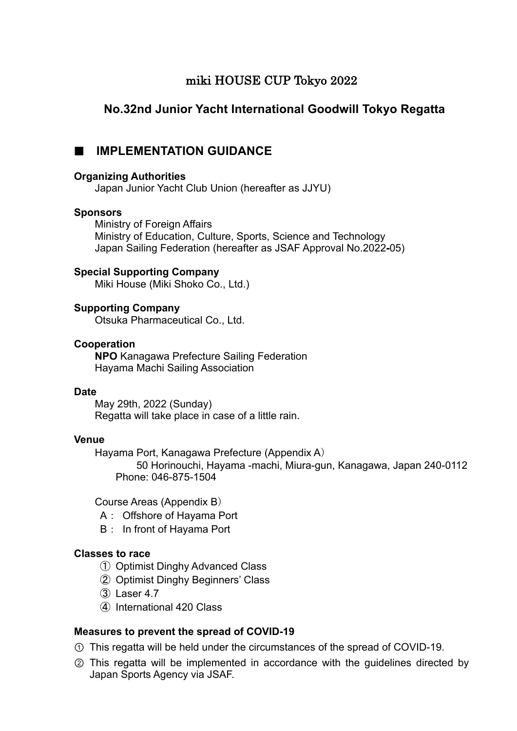# miki HOUSE CUP Tokyo 2022

# **No.32nd Junior Yacht International Goodwill Tokyo Regatta**

## **E** IMPLEMENTATION GUIDANCE

### **Organizing Authorities**

Japan Junior Yacht Club Union (hereafter as JJYU)

### **Sponsors**

 Ministry of Foreign Affairs Ministry of Education, Culture, Sports, Science and Technology Japan Sailing Federation (hereafter as JSAF Approval No.2022**-**05)

### **Special Supporting Company**

Miki House (Miki Shoko Co., Ltd.)

## **Supporting Company**

Otsuka Pharmaceutical Co., Ltd.

### **Cooperation**

**NPO** Kanagawa Prefecture Sailing Federation Hayama Machi Sailing Association

### **Date**

May 29th, 2022 (Sunday) Regatta will take place in case of a little rain.

### **Venue**

Hayama Port, Kanagawa Prefecture (Appendix A)

50 Horinouchi, Hayama -machi, Miura-gun, Kanagawa, Japan 240-0112 Phone: 046-875-1504

Course Areas (Appendix B)

- A: Offshore of Hayama Port
- B: In front of Hayama Port

### **Classes to race**

- ① Optimist Dinghy Advanced Class
- ② Optimist Dinghy Beginners' Class
- ➂ Laser 4.7
- ➃ International 420 Class

## **Measures to prevent the spread of COVID-19**

- " This regatta will be held under the circumstances of the spread of COVID-19.
- 2 This regatta will be implemented in accordance with the guidelines directed by Japan Sports Agency via JSAF.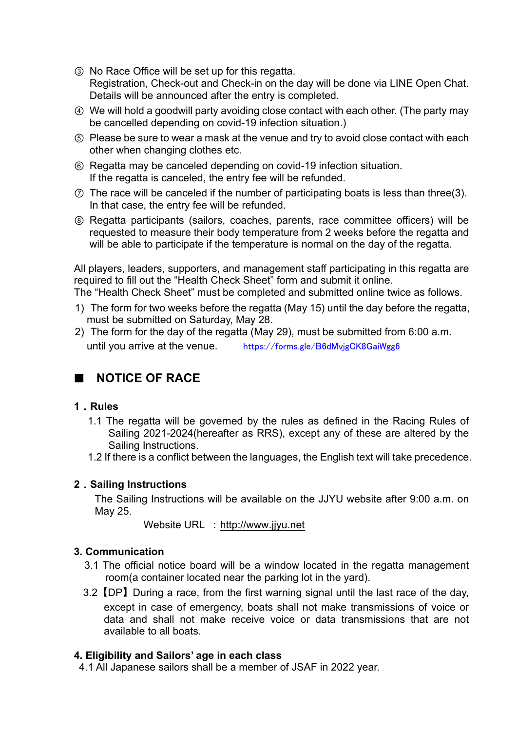- 3 No Race Office will be set up for this regatta. Registration, Check-out and Check-in on the day will be done via LINE Open Chat. Details will be announced after the entry is completed.
- % We will hold a goodwill party avoiding close contact with each other. (The party may be cancelled depending on covid-19 infection situation.)
- & Please be sure to wear a mask at the venue and try to avoid close contact with each other when changing clothes etc.
- $\circledR$  Regatta may be canceled depending on covid-19 infection situation. If the regatta is canceled, the entry fee will be refunded.
- $\odot$  The race will be canceled if the number of participating boats is less than three(3). In that case, the entry fee will be refunded.
- ) Regatta participants (sailors, coaches, parents, race committee officers) will be requested to measure their body temperature from 2 weeks before the regatta and will be able to participate if the temperature is normal on the day of the regatta.

All players, leaders, supporters, and management staff participating in this regatta are required to fill out the "Health Check Sheet" form and submit it online.

The "Health Check Sheet" must be completed and submitted online twice as follows.

- 1) The form for two weeks before the regatta (May 15) until the day before the regatta, must be submitted on Saturday, May 28.
- 2) The form for the day of the regatta (May 29), must be submitted from 6:00 a.m. until you arrive at the venue. <https://forms.gle/B6dMvjgCK8GaiWgg6>

# █! **NOTICE OF RACE**

## **1**\***Rules**

- 1.1 The regatta will be governed by the rules as defined in the Racing Rules of Sailing 2021-2024(hereafter as RRS), except any of these are altered by the Sailing Instructions.
- 1.2 If there is a conflict between the languages, the English text will take precedence.

## **2**\***Sailing Instructions**

The Sailing Instructions will be available on the JJYU website after 9:00 a.m. on May 25.

Website URL : <http://www.jjyu.net>

## **3. Communication**

- 3.1 The official notice board will be a window located in the regatta management room(a container located near the parking lot in the yard).
- 3.2 **[DP]** During a race, from the first warning signal until the last race of the day, except in case of emergency, boats shall not make transmissions of voice or data and shall not make receive voice or data transmissions that are not available to all boats.

## **4. Eligibility and Sailors' age in each class**

4.1 All Japanese sailors shall be a member of JSAF in 2022 year.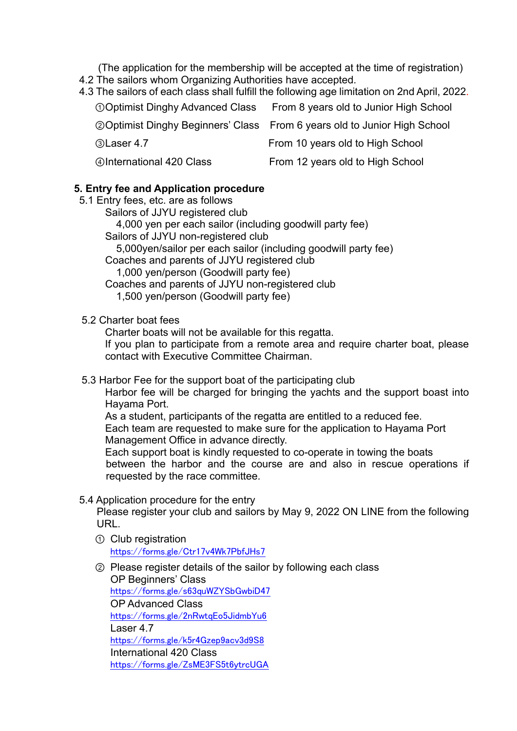(The application for the membership will be accepted at the time of registration)

- 4.2 The sailors whom Organizing Authorities have accepted.
- 4.3 The sailors of each class shall fulfill the following age limitation on 2nd April, 2022.

| <b>OOptimist Dinghy Advanced Class</b> | From 8 years old to Junior High School                                            |
|----------------------------------------|-----------------------------------------------------------------------------------|
|                                        | <b>20 Optimist Dinghy Beginners' Class</b> From 6 years old to Junior High School |
| 3 Laser 4.7                            | From 10 years old to High School                                                  |
| <b>420 Class</b>                       | From 12 years old to High School                                                  |

## **5. Entry fee and Application procedure**

- 5.1 Entry fees, etc. are as follows
	- Sailors of JJYU registered club

4,000 yen per each sailor (including goodwill party fee)

- Sailors of JJYU non-registered club
	- 5,000yen/sailor per each sailor (including goodwill party fee)
- Coaches and parents of JJYU registered club 1,000 yen/person (Goodwill party fee)
- Coaches and parents of JJYU non-registered club
	- 1,500 yen/person (Goodwill party fee)

## 5.2 Charter boat fees

Charter boats will not be available for this regatta.

If you plan to participate from a remote area and require charter boat, please contact with Executive Committee Chairman.

5.3 Harbor Fee for the support boat of the participating club

 Harbor fee will be charged for bringing the yachts and the support boast into Hayama Port.

 As a student, participants of the regatta are entitled to a reduced fee. Each team are requested to make sure for the application to Hayama Port Management Office in advance directly.

Each support boat is kindly requested to co-operate in towing the boats between the harbor and the course are and also in rescue operations if requested by the race committee.

5.4 Application procedure for the entry

Please register your club and sailors by May 9, 2022 ON LINE from the following URL.

- **(1)** Club registration <https://forms.gle/Ctr17v4Wk7PbfJHs7>
- 2 Please register details of the sailor by following each class OP Beginners' Class <https://forms.gle/s63quWZYSbGwbiD47> OP Advanced Class <https://forms.gle/2nRwtqEo5JidmbYu6> Laser 4.7 <https://forms.gle/k5r4Gzep9acv3d9S8> International 420 Class <https://forms.gle/ZsME3FS5t6ytrcUGA>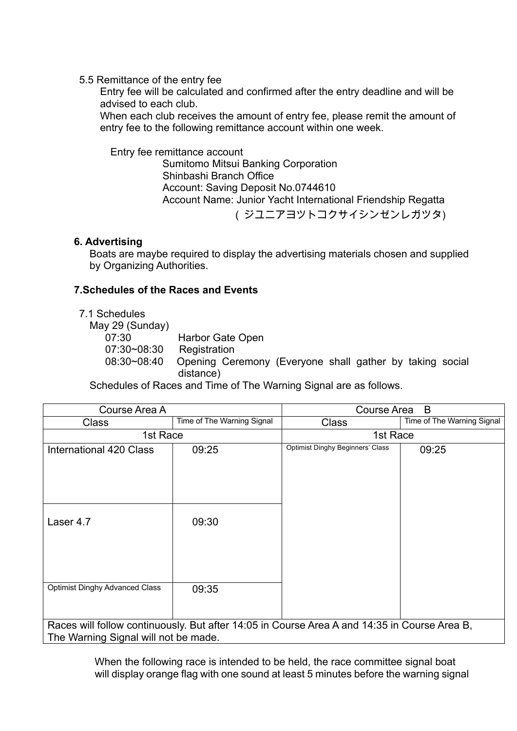## 5.5 Remittance of the entry fee

 Entry fee will be calculated and confirmed after the entry deadline and will be advised to each club.

When each club receives the amount of entry fee, please remit the amount of entry fee to the following remittance account within one week.

## **Entry fee remittance account**

Sumitomo Mitsui Banking Corporation Shinbashi Branch Office Account: Saving Deposit No.0744610 Account Name: Junior Yacht International Friendship Regatta (ジユニアヨツトコクサイシンゼンレガツタ)

# **6. Advertising**

Boats are maybe required to display the advertising materials chosen and supplied by Organizing Authorities.

## **7.Schedules of the Races and Events**

## 7.1 Schedules

May 29 (Sunday) 07:30 Harbor Gate Open 07:30~08:30 Registration 08:30~08:40 Opening Ceremony (Everyone shall gather by taking social distance)

Schedules of Races and Time of The Warning Signal are as follows.

| Course Area A                                                                                                                        |                            | B<br>Course Area                        |                            |  |  |  |
|--------------------------------------------------------------------------------------------------------------------------------------|----------------------------|-----------------------------------------|----------------------------|--|--|--|
| <b>Class</b>                                                                                                                         | Time of The Warning Signal | <b>Class</b>                            | Time of The Warning Signal |  |  |  |
| 1st Race                                                                                                                             |                            | 1st Race                                |                            |  |  |  |
| International 420 Class                                                                                                              | 09:25                      | <b>Optimist Dinghy Beginners' Class</b> | 09:25                      |  |  |  |
| Laser 4.7                                                                                                                            | 09:30                      |                                         |                            |  |  |  |
| <b>Optimist Dinghy Advanced Class</b>                                                                                                | 09:35                      |                                         |                            |  |  |  |
| Races will follow continuously. But after 14:05 in Course Area A and 14:35 in Course Area B,<br>The Warning Signal will not be made. |                            |                                         |                            |  |  |  |

When the following race is intended to be held, the race committee signal boat will display orange flag with one sound at least 5 minutes before the warning signal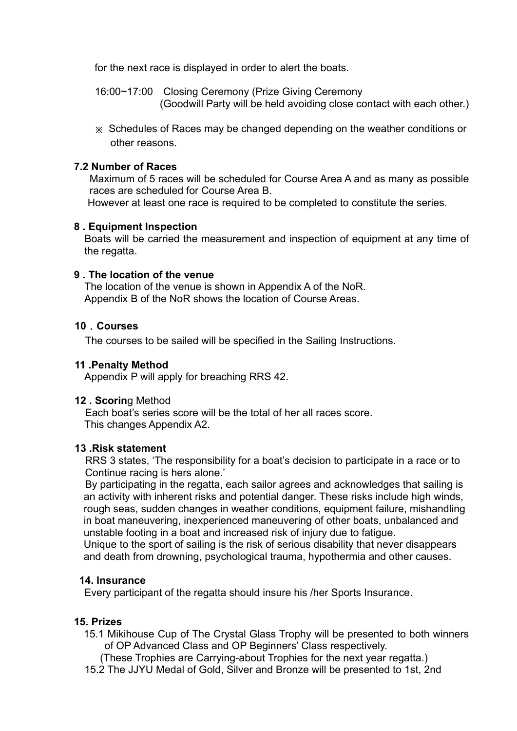for the next race is displayed in order to alert the boats.

 16:00~17:00 Closing Ceremony (Prize Giving Ceremony (Goodwill Party will be held avoiding close contact with each other.)

 $\chi$  Schedules of Races may be changed depending on the weather conditions or other reasons.

## **7.2 Number of Races**

Maximum of 5 races will be scheduled for Course Area A and as many as possible races are scheduled for Course Area B.

However at least one race is required to be completed to constitute the series.

### **8 . Equipment Inspection**

Boats will be carried the measurement and inspection of equipment at any time of the regatta.

### **9 . The location of the venue**

The location of the venue is shown in Appendix A of the NoR. Appendix B of the NoR shows the location of Course Areas.

### **10**\***Courses**

The courses to be sailed will be specified in the Sailing Instructions.

### **11 .Penalty Method**

Appendix P will apply for breaching RRS 42.

### **12 . Scorin**g Method

Each boat's series score will be the total of her all races score. This changes Appendix A2.

### **13 .Risk statement**

RRS 3 states, 'The responsibility for a boat's decision to participate in a race or to Continue racing is hers alone.'

 By participating in the regatta, each sailor agrees and acknowledges that sailing is an activity with inherent risks and potential danger. These risks include high winds, rough seas, sudden changes in weather conditions, equipment failure, mishandling in boat maneuvering, inexperienced maneuvering of other boats, unbalanced and unstable footing in a boat and increased risk of injury due to fatigue.

Unique to the sport of sailing is the risk of serious disability that never disappears and death from drowning, psychological trauma, hypothermia and other causes.

## **14. Insurance**

Every participant of the regatta should insure his /her Sports Insurance.

## **15. Prizes**

15.1 Mikihouse Cup of The Crystal Glass Trophy will be presented to both winners of OP Advanced Class and OP Beginners' Class respectively.

(These Trophies are Carrying-about Trophies for the next year regatta.)

15.2 The JJYU Medal of Gold, Silver and Bronze will be presented to 1st, 2nd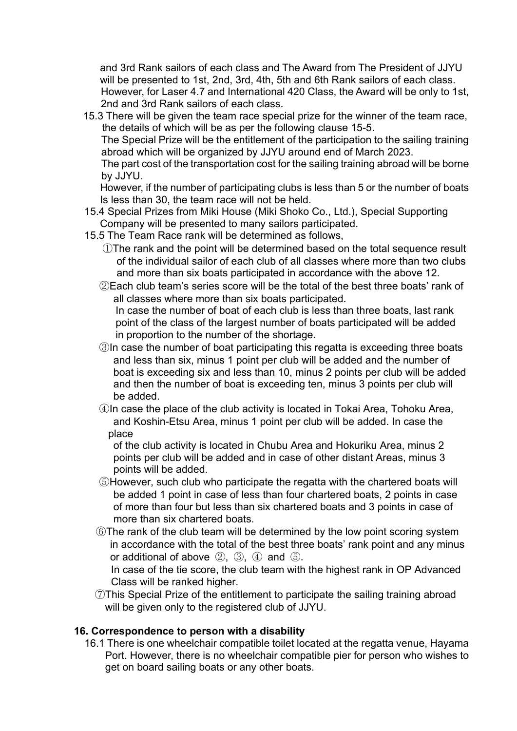and 3rd Rank sailors of each class and The Award from The President of JJYU will be presented to 1st, 2nd, 3rd, 4th, 5th and 6th Rank sailors of each class. However, for Laser 4.7 and International 420 Class, the Award will be only to 1st, 2nd and 3rd Rank sailors of each class.

15.3 There will be given the team race special prize for the winner of the team race, the details of which will be as per the following clause 15-5.

The Special Prize will be the entitlement of the participation to the sailing training abroad which will be organized by JJYU around end of March 2023.

The part cost of the transportation cost for the sailing training abroad will be borne by JJYU.

 However, if the number of participating clubs is less than 5 or the number of boats Is less than 30, the team race will not be held.

- 15.4 Special Prizes from Miki House (Miki Shoko Co., Ltd.), Special Supporting Company will be presented to many sailors participated.
- 15.5 The Team Race rank will be determined as follows,
	- ①The rank and the point will be determined based on the total sequence result of the individual sailor of each club of all classes where more than two clubs and more than six boats participated in accordance with the above 12.
	- ②Each club team's series score will be the total of the best three boats' rank of all classes where more than six boats participated.

In case the number of boat of each club is less than three boats, last rank point of the class of the largest number of boats participated will be added in proportion to the number of the shortage.

- ③In case the number of boat participating this regatta is exceeding three boats and less than six, minus 1 point per club will be added and the number of boat is exceeding six and less than 10, minus 2 points per club will be added and then the number of boat is exceeding ten, minus 3 points per club will be added.
- ④In case the place of the club activity is located in Tokai Area, Tohoku Area, and Koshin-Etsu Area, minus 1 point per club will be added. In case the place

of the club activity is located in Chubu Area and Hokuriku Area, minus 2 points per club will be added and in case of other distant Areas, minus 3 points will be added.

- ⑤However, such club who participate the regatta with the chartered boats will be added 1 point in case of less than four chartered boats, 2 points in case of more than four but less than six chartered boats and 3 points in case of more than six chartered boats.
- ⑥The rank of the club team will be determined by the low point scoring system in accordance with the total of the best three boats' rank point and any minus or additional of above ②, ③, ④ and ⑤.

In case of the tie score, the club team with the highest rank in OP Advanced Class will be ranked higher.

⑦This Special Prize of the entitlement to participate the sailing training abroad will be given only to the registered club of JJYU.

## **16. Correspondence to person with a disability**

16.1 There is one wheelchair compatible toilet located at the regatta venue, Hayama Port. However, there is no wheelchair compatible pier for person who wishes to get on board sailing boats or any other boats.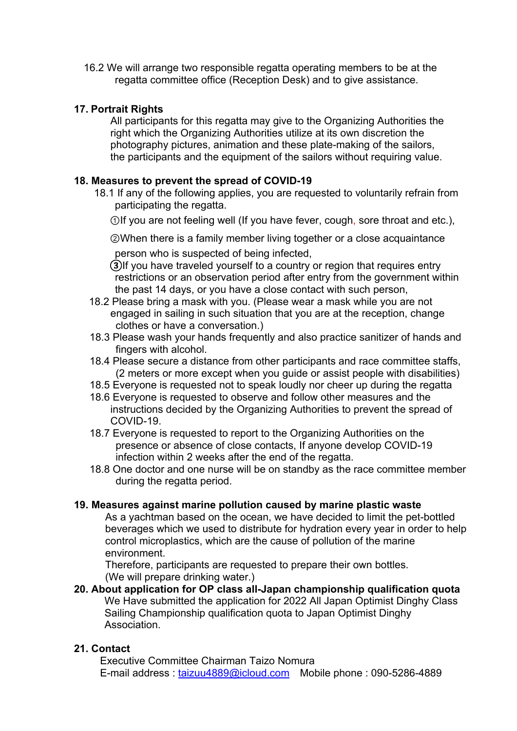16.2 We will arrange two responsible regatta operating members to be at the regatta committee office (Reception Desk) and to give assistance.

## **17. Portrait Rights**

 All participants for this regatta may give to the Organizing Authorities the right which the Organizing Authorities utilize at its own discretion the photography pictures, animation and these plate-making of the sailors, the participants and the equipment of the sailors without requiring value.

## **18. Measures to prevent the spread of COVID-19**

- 18.1 If any of the following applies, you are requested to voluntarily refrain from participating the regatta.
	- Olf you are not feeling well (If you have fever, cough, sore throat and etc.),

**@When there is a family member living together or a close acquaintance** person who is suspected of being infected,

- (3) If you have traveled yourself to a country or region that requires entry restrictions or an observation period after entry from the government within the past 14 days, or you have a close contact with such person,
- 18.2 Please bring a mask with you. (Please wear a mask while you are not engaged in sailing in such situation that you are at the reception, change clothes or have a conversation.)
- 18.3 Please wash your hands frequently and also practice sanitizer of hands and fingers with alcohol.
- 18.4 Please secure a distance from other participants and race committee staffs, (2 meters or more except when you guide or assist people with disabilities)
- 18.5 Everyone is requested not to speak loudly nor cheer up during the regatta
- 18.6 Everyone is requested to observe and follow other measures and the instructions decided by the Organizing Authorities to prevent the spread of COVID-19.
- 18.7 Everyone is requested to report to the Organizing Authorities on the presence or absence of close contacts, If anyone develop COVID-19 infection within 2 weeks after the end of the regatta.
- 18.8 One doctor and one nurse will be on standby as the race committee member during the regatta period.

## **19. Measures against marine pollution caused by marine plastic waste**

 As a yachtman based on the ocean, we have decided to limit the pet-bottled beverages which we used to distribute for hydration every year in order to help control microplastics, which are the cause of pollution of the marine environment.

 Therefore, participants are requested to prepare their own bottles. (We will prepare drinking water.)

**20. About application for OP class all-Japan championship qualification quota** We Have submitted the application for 2022 All Japan Optimist Dinghy Class Sailing Championship qualification quota to Japan Optimist Dinghy Association.

## **21. Contact**

Executive Committee Chairman Taizo Nomura E-mail address : taizuu4889@icloud.com Mobile phone : 090-5286-4889